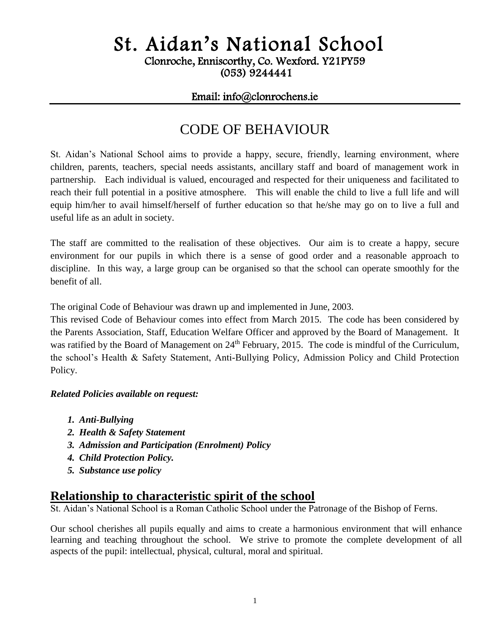# St. Aidan's National School

Clonroche, Enniscorthy, Co. Wexford. Y21PY59

(053) 9244441

#### Email: info@clonrochens.ie

# CODE OF BEHAVIOUR

St. Aidan's National School aims to provide a happy, secure, friendly, learning environment, where children, parents, teachers, special needs assistants, ancillary staff and board of management work in partnership. Each individual is valued, encouraged and respected for their uniqueness and facilitated to reach their full potential in a positive atmosphere. This will enable the child to live a full life and will equip him/her to avail himself/herself of further education so that he/she may go on to live a full and useful life as an adult in society.

The staff are committed to the realisation of these objectives. Our aim is to create a happy, secure environment for our pupils in which there is a sense of good order and a reasonable approach to discipline. In this way, a large group can be organised so that the school can operate smoothly for the benefit of all.

The original Code of Behaviour was drawn up and implemented in June, 2003.

This revised Code of Behaviour comes into effect from March 2015. The code has been considered by the Parents Association, Staff, Education Welfare Officer and approved by the Board of Management. It was ratified by the Board of Management on 24<sup>th</sup> February, 2015. The code is mindful of the Curriculum, the school's Health & Safety Statement, Anti-Bullying Policy, Admission Policy and Child Protection Policy.

#### *Related Policies available on request:*

- *1. Anti-Bullying*
- *2. Health & Safety Statement*
- *3. Admission and Participation (Enrolment) Policy*
- *4. Child Protection Policy.*
- *5. Substance use policy*

### **Relationship to characteristic spirit of the school**

St. Aidan's National School is a Roman Catholic School under the Patronage of the Bishop of Ferns.

Our school cherishes all pupils equally and aims to create a harmonious environment that will enhance learning and teaching throughout the school. We strive to promote the complete development of all aspects of the pupil: intellectual, physical, cultural, moral and spiritual.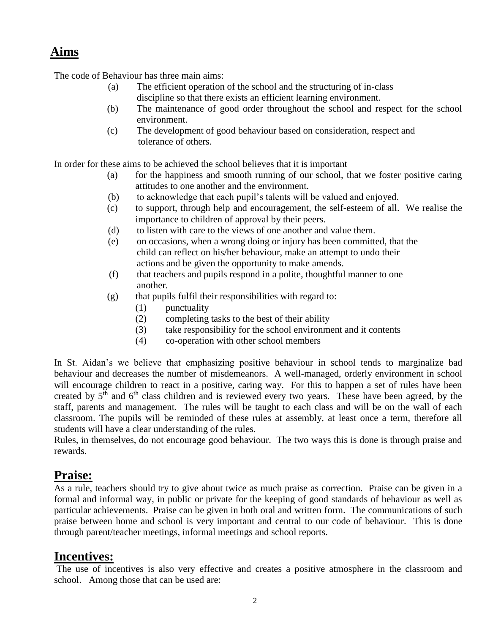# **Aims**

The code of Behaviour has three main aims:

- (a) The efficient operation of the school and the structuring of in-class discipline so that there exists an efficient learning environment.
- (b) The maintenance of good order throughout the school and respect for the school environment.
- (c) The development of good behaviour based on consideration, respect and tolerance of others.

In order for these aims to be achieved the school believes that it is important

- (a) for the happiness and smooth running of our school, that we foster positive caring attitudes to one another and the environment.
- (b) to acknowledge that each pupil's talents will be valued and enjoyed.
- (c) to support, through help and encouragement, the self-esteem of all. We realise the importance to children of approval by their peers.
- (d) to listen with care to the views of one another and value them.
- (e) on occasions, when a wrong doing or injury has been committed, that the child can reflect on his/her behaviour, make an attempt to undo their actions and be given the opportunity to make amends.
- (f) that teachers and pupils respond in a polite, thoughtful manner to one another.
- $(g)$  that pupils fulfil their responsibilities with regard to:
	- (1) punctuality
	- (2) completing tasks to the best of their ability
	- (3) take responsibility for the school environment and it contents
	- (4) co-operation with other school members

In St. Aidan's we believe that emphasizing positive behaviour in school tends to marginalize bad behaviour and decreases the number of misdemeanors. A well-managed, orderly environment in school will encourage children to react in a positive, caring way. For this to happen a set of rules have been created by 5<sup>th</sup> and 6<sup>th</sup> class children and is reviewed every two years. These have been agreed, by the staff, parents and management. The rules will be taught to each class and will be on the wall of each classroom. The pupils will be reminded of these rules at assembly, at least once a term, therefore all students will have a clear understanding of the rules.

Rules, in themselves, do not encourage good behaviour. The two ways this is done is through praise and rewards.

### **Praise:**

As a rule, teachers should try to give about twice as much praise as correction. Praise can be given in a formal and informal way, in public or private for the keeping of good standards of behaviour as well as particular achievements. Praise can be given in both oral and written form. The communications of such praise between home and school is very important and central to our code of behaviour. This is done through parent/teacher meetings, informal meetings and school reports.

### **Incentives:**

The use of incentives is also very effective and creates a positive atmosphere in the classroom and school. Among those that can be used are: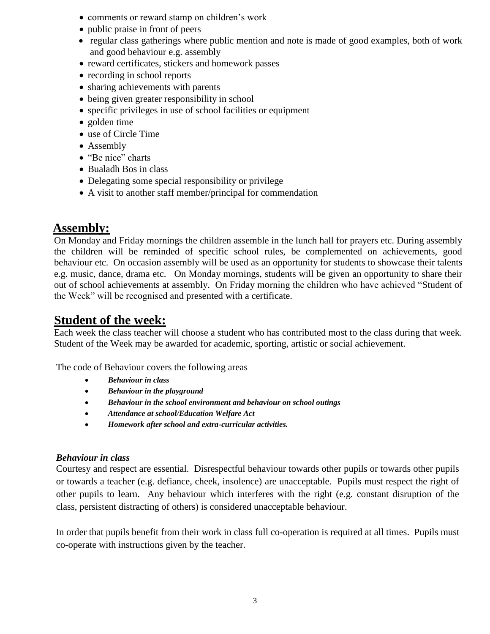- comments or reward stamp on children's work
- public praise in front of peers
- regular class gatherings where public mention and note is made of good examples, both of work and good behaviour e.g. assembly
- reward certificates, stickers and homework passes
- recording in school reports
- sharing achievements with parents
- being given greater responsibility in school
- specific privileges in use of school facilities or equipment
- golden time
- use of Circle Time
- Assembly
- "Be nice" charts
- Bualadh Bos in class
- Delegating some special responsibility or privilege
- A visit to another staff member/principal for commendation

### **Assembly:**

On Monday and Friday mornings the children assemble in the lunch hall for prayers etc. During assembly the children will be reminded of specific school rules, be complemented on achievements, good behaviour etc. On occasion assembly will be used as an opportunity for students to showcase their talents e.g. music, dance, drama etc. On Monday mornings, students will be given an opportunity to share their out of school achievements at assembly. On Friday morning the children who have achieved "Student of the Week" will be recognised and presented with a certificate.

### **Student of the week:**

Each week the class teacher will choose a student who has contributed most to the class during that week. Student of the Week may be awarded for academic, sporting, artistic or social achievement.

The code of Behaviour covers the following areas

- *Behaviour in class*
- *Behaviour in the playground*
- *Behaviour in the school environment and behaviour on school outings*
- *Attendance at school/Education Welfare Act*
- *Homework after school and extra-curricular activities.*

#### *Behaviour in class*

Courtesy and respect are essential. Disrespectful behaviour towards other pupils or towards other pupils or towards a teacher (e.g. defiance, cheek, insolence) are unacceptable. Pupils must respect the right of other pupils to learn. Any behaviour which interferes with the right (e.g. constant disruption of the class, persistent distracting of others) is considered unacceptable behaviour.

In order that pupils benefit from their work in class full co-operation is required at all times. Pupils must co-operate with instructions given by the teacher.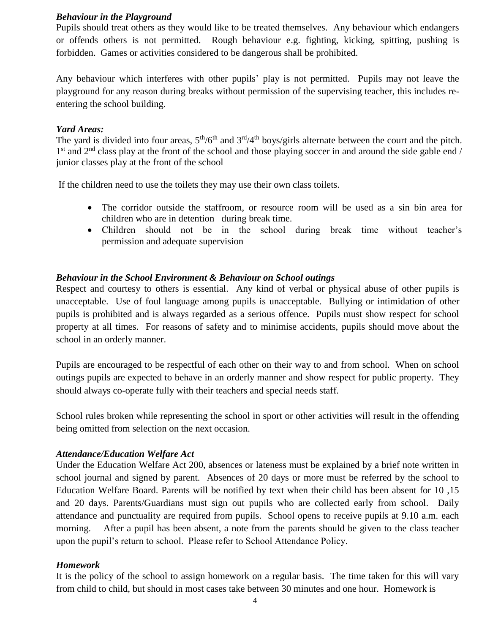#### *Behaviour in the Playground*

Pupils should treat others as they would like to be treated themselves. Any behaviour which endangers or offends others is not permitted. Rough behaviour e.g. fighting, kicking, spitting, pushing is forbidden. Games or activities considered to be dangerous shall be prohibited.

Any behaviour which interferes with other pupils' play is not permitted. Pupils may not leave the playground for any reason during breaks without permission of the supervising teacher, this includes reentering the school building.

#### *Yard Areas:*

The yard is divided into four areas,  $5<sup>th</sup>/6<sup>th</sup>$  and  $3<sup>rd</sup>/4<sup>th</sup>$  boys/girls alternate between the court and the pitch. 1<sup>st</sup> and 2<sup>nd</sup> class play at the front of the school and those playing soccer in and around the side gable end / junior classes play at the front of the school

If the children need to use the toilets they may use their own class toilets.

- The corridor outside the staffroom, or resource room will be used as a sin bin area for children who are in detention during break time.
- Children should not be in the school during break time without teacher's permission and adequate supervision

#### *Behaviour in the School Environment & Behaviour on School outings*

Respect and courtesy to others is essential. Any kind of verbal or physical abuse of other pupils is unacceptable. Use of foul language among pupils is unacceptable. Bullying or intimidation of other pupils is prohibited and is always regarded as a serious offence. Pupils must show respect for school property at all times. For reasons of safety and to minimise accidents, pupils should move about the school in an orderly manner.

Pupils are encouraged to be respectful of each other on their way to and from school. When on school outings pupils are expected to behave in an orderly manner and show respect for public property. They should always co-operate fully with their teachers and special needs staff.

School rules broken while representing the school in sport or other activities will result in the offending being omitted from selection on the next occasion.

#### *Attendance/Education Welfare Act*

Under the Education Welfare Act 200, absences or lateness must be explained by a brief note written in school journal and signed by parent. Absences of 20 days or more must be referred by the school to Education Welfare Board. Parents will be notified by text when their child has been absent for 10 ,15 and 20 days. Parents/Guardians must sign out pupils who are collected early from school. Daily attendance and punctuality are required from pupils. School opens to receive pupils at 9.10 a.m. each morning. After a pupil has been absent, a note from the parents should be given to the class teacher upon the pupil's return to school. Please refer to School Attendance Policy.

#### *Homework*

It is the policy of the school to assign homework on a regular basis. The time taken for this will vary from child to child, but should in most cases take between 30 minutes and one hour. Homework is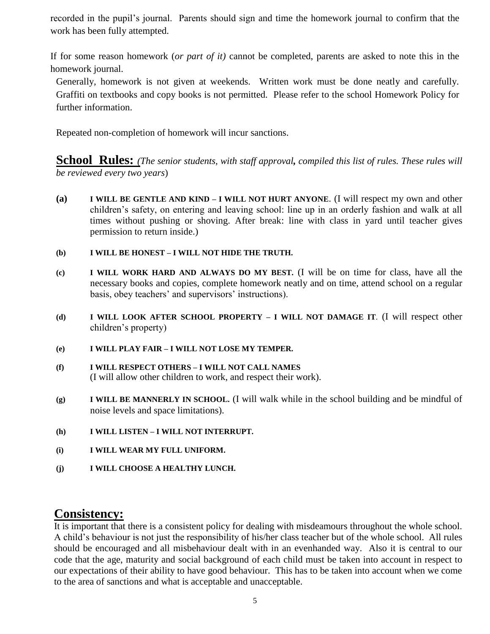recorded in the pupil's journal. Parents should sign and time the homework journal to confirm that the work has been fully attempted.

If for some reason homework (*or part of it)* cannot be completed, parents are asked to note this in the homework journal.

Generally, homework is not given at weekends. Written work must be done neatly and carefully. Graffiti on textbooks and copy books is not permitted. Please refer to the school Homework Policy for further information.

Repeated non-completion of homework will incur sanctions.

**School Rules:** *(The senior students, with staff approval, compiled this list of rules. These rules will be reviewed every two years*)

**(a) I WILL BE GENTLE AND KIND – I WILL NOT HURT ANYONE**. (I will respect my own and other children's safety, on entering and leaving school: line up in an orderly fashion and walk at all times without pushing or shoving. After break: line with class in yard until teacher gives permission to return inside.)

#### **(b) I WILL BE HONEST – I WILL NOT HIDE THE TRUTH.**

- **(c) I WILL WORK HARD AND ALWAYS DO MY BEST.** (I will be on time for class, have all the necessary books and copies, complete homework neatly and on time, attend school on a regular basis, obey teachers' and supervisors' instructions).
- **(d) I WILL LOOK AFTER SCHOOL PROPERTY – I WILL NOT DAMAGE IT**. (I will respect other children's property)
- **(e) I WILL PLAY FAIR – I WILL NOT LOSE MY TEMPER.**
- **(f) I WILL RESPECT OTHERS – I WILL NOT CALL NAMES** (I will allow other children to work, and respect their work).
- **(g) I WILL BE MANNERLY IN SCHOOL.** (I will walk while in the school building and be mindful of noise levels and space limitations).
- **(h) I WILL LISTEN – I WILL NOT INTERRUPT.**
- **(i) I WILL WEAR MY FULL UNIFORM.**
- **(j) I WILL CHOOSE A HEALTHY LUNCH.**

### **Consistency:**

It is important that there is a consistent policy for dealing with misdeamours throughout the whole school. A child's behaviour is not just the responsibility of his/her class teacher but of the whole school. All rules should be encouraged and all misbehaviour dealt with in an evenhanded way. Also it is central to our code that the age, maturity and social background of each child must be taken into account in respect to our expectations of their ability to have good behaviour. This has to be taken into account when we come to the area of sanctions and what is acceptable and unacceptable.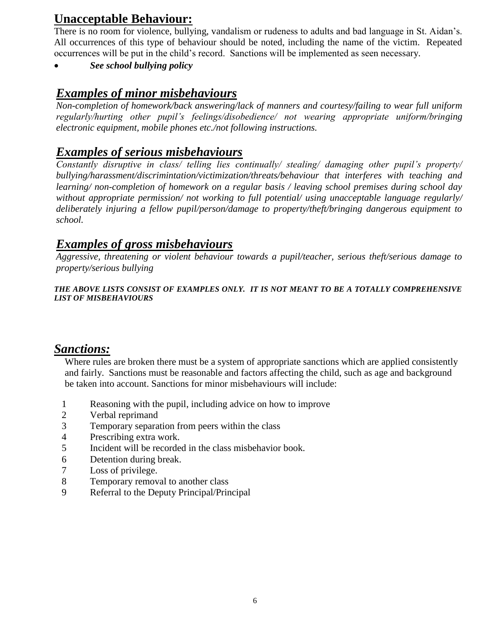# **Unacceptable Behaviour:**

There is no room for violence, bullying, vandalism or rudeness to adults and bad language in St. Aidan's. All occurrences of this type of behaviour should be noted, including the name of the victim. Repeated occurrences will be put in the child's record. Sanctions will be implemented as seen necessary.

*See school bullying policy*

### *Examples of minor misbehaviours*

*Non-completion of homework/back answering/lack of manners and courtesy/failing to wear full uniform regularly/hurting other pupil's feelings/disobedience/ not wearing appropriate uniform/bringing electronic equipment, mobile phones etc./not following instructions.*

### *Examples of serious misbehaviours*

*Constantly disruptive in class/ telling lies continually/ stealing/ damaging other pupil's property/ bullying/harassment/discrimintation/victimization/threats/behaviour that interferes with teaching and learning/ non-completion of homework on a regular basis / leaving school premises during school day without appropriate permission/ not working to full potential/ using unacceptable language regularly/ deliberately injuring a fellow pupil/person/damage to property/theft/bringing dangerous equipment to school.*

### *Examples of gross misbehaviours*

*Aggressive, threatening or violent behaviour towards a pupil/teacher, serious theft/serious damage to property/serious bullying*

*THE ABOVE LISTS CONSIST OF EXAMPLES ONLY. IT IS NOT MEANT TO BE A TOTALLY COMPREHENSIVE LIST OF MISBEHAVIOURS*

### *Sanctions:*

Where rules are broken there must be a system of appropriate sanctions which are applied consistently and fairly. Sanctions must be reasonable and factors affecting the child, such as age and background be taken into account. Sanctions for minor misbehaviours will include:

- 1 Reasoning with the pupil, including advice on how to improve
- 2 Verbal reprimand
- 3 Temporary separation from peers within the class<br>4 Prescribing extra work.
- Prescribing extra work.
- 5 Incident will be recorded in the class misbehavior book.
- 6 Detention during break.
- 7 Loss of privilege.
- 8 Temporary removal to another class<br>9 Referral to the Deputy Principal/Prin
- Referral to the Deputy Principal/Principal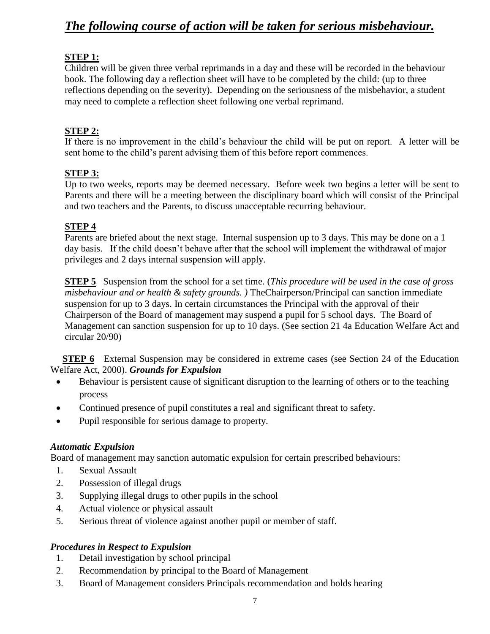# *The following course of action will be taken for serious misbehaviour.*

#### **STEP 1:**

Children will be given three verbal reprimands in a day and these will be recorded in the behaviour book. The following day a reflection sheet will have to be completed by the child: (up to three reflections depending on the severity). Depending on the seriousness of the misbehavior, a student may need to complete a reflection sheet following one verbal reprimand.

#### **STEP 2:**

If there is no improvement in the child's behaviour the child will be put on report. A letter will be sent home to the child's parent advising them of this before report commences.

#### **STEP 3:**

Up to two weeks, reports may be deemed necessary. Before week two begins a letter will be sent to Parents and there will be a meeting between the disciplinary board which will consist of the Principal and two teachers and the Parents, to discuss unacceptable recurring behaviour.

#### **STEP 4**

Parents are briefed about the next stage. Internal suspension up to 3 days. This may be done on a 1 day basis. If the child doesn't behave after that the school will implement the withdrawal of major privileges and 2 days internal suspension will apply.

**STEP 5** Suspension from the school for a set time. (*This procedure will be used in the case of gross misbehaviour and or health & safety grounds. )* TheChairperson/Principal can sanction immediate suspension for up to 3 days. In certain circumstances the Principal with the approval of their Chairperson of the Board of management may suspend a pupil for 5 school days. The Board of Management can sanction suspension for up to 10 days. (See section 21 4a Education Welfare Act and circular 20/90)

**STEP 6** External Suspension may be considered in extreme cases (see Section 24 of the Education Welfare Act, 2000). *Grounds for Expulsion*

- Behaviour is persistent cause of significant disruption to the learning of others or to the teaching process
- Continued presence of pupil constitutes a real and significant threat to safety.
- Pupil responsible for serious damage to property.

#### *Automatic Expulsion*

Board of management may sanction automatic expulsion for certain prescribed behaviours:

- 1. Sexual Assault
- 2. Possession of illegal drugs
- 3. Supplying illegal drugs to other pupils in the school
- 4. Actual violence or physical assault
- 5. Serious threat of violence against another pupil or member of staff.

#### *Procedures in Respect to Expulsion*

- 1. Detail investigation by school principal
- 2. Recommendation by principal to the Board of Management
- 3. Board of Management considers Principals recommendation and holds hearing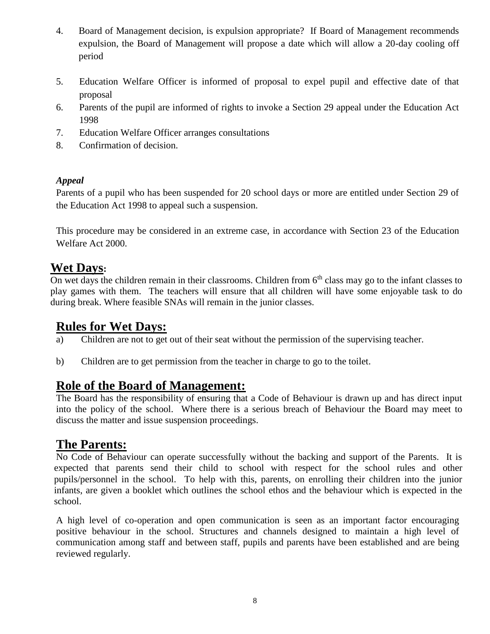- 4. Board of Management decision, is expulsion appropriate? If Board of Management recommends expulsion, the Board of Management will propose a date which will allow a 20-day cooling off period
- 5. Education Welfare Officer is informed of proposal to expel pupil and effective date of that proposal
- 6. Parents of the pupil are informed of rights to invoke a Section 29 appeal under the Education Act 1998
- 7. Education Welfare Officer arranges consultations
- 8. Confirmation of decision.

#### *Appeal*

Parents of a pupil who has been suspended for 20 school days or more are entitled under Section 29 of the Education Act 1998 to appeal such a suspension.

This procedure may be considered in an extreme case, in accordance with Section 23 of the Education Welfare Act 2000.

### **Wet Days:**

On wet days the children remain in their classrooms. Children from  $6<sup>th</sup>$  class may go to the infant classes to play games with them. The teachers will ensure that all children will have some enjoyable task to do during break. Where feasible SNAs will remain in the junior classes.

### **Rules for Wet Days:**

- a) Children are not to get out of their seat without the permission of the supervising teacher.
- b) Children are to get permission from the teacher in charge to go to the toilet.

### **Role of the Board of Management:**

The Board has the responsibility of ensuring that a Code of Behaviour is drawn up and has direct input into the policy of the school. Where there is a serious breach of Behaviour the Board may meet to discuss the matter and issue suspension proceedings.

### **The Parents:**

No Code of Behaviour can operate successfully without the backing and support of the Parents. It is expected that parents send their child to school with respect for the school rules and other pupils/personnel in the school. To help with this, parents, on enrolling their children into the junior infants, are given a booklet which outlines the school ethos and the behaviour which is expected in the school.

A high level of co-operation and open communication is seen as an important factor encouraging positive behaviour in the school. Structures and channels designed to maintain a high level of communication among staff and between staff, pupils and parents have been established and are being reviewed regularly.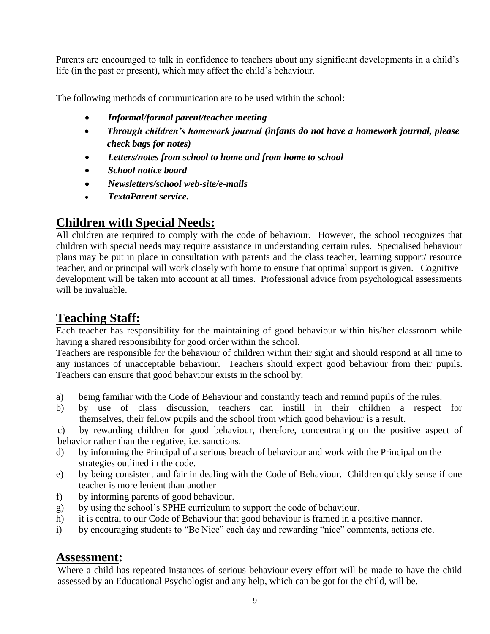Parents are encouraged to talk in confidence to teachers about any significant developments in a child's life (in the past or present), which may affect the child's behaviour.

The following methods of communication are to be used within the school:

- *Informal/formal parent/teacher meeting*
- *Through children's homework journal (infants do not have a homework journal, please check bags for notes)*
- *Letters/notes from school to home and from home to school*
- *School notice board*
- *Newsletters/school web-site/e-mails*
- *TextaParent service.*

# **Children with Special Needs:**

All children are required to comply with the code of behaviour. However, the school recognizes that children with special needs may require assistance in understanding certain rules. Specialised behaviour plans may be put in place in consultation with parents and the class teacher, learning support/ resource teacher, and or principal will work closely with home to ensure that optimal support is given. Cognitive development will be taken into account at all times. Professional advice from psychological assessments will be invaluable.

# **Teaching Staff:**

Each teacher has responsibility for the maintaining of good behaviour within his/her classroom while having a shared responsibility for good order within the school.

Teachers are responsible for the behaviour of children within their sight and should respond at all time to any instances of unacceptable behaviour. Teachers should expect good behaviour from their pupils. Teachers can ensure that good behaviour exists in the school by:

- a) being familiar with the Code of Behaviour and constantly teach and remind pupils of the rules.
- b) by use of class discussion, teachers can instill in their children a respect for themselves, their fellow pupils and the school from which good behaviour is a result.

c) by rewarding children for good behaviour, therefore, concentrating on the positive aspect of behavior rather than the negative, i.e. sanctions.

- d) by informing the Principal of a serious breach of behaviour and work with the Principal on the strategies outlined in the code.
- e) by being consistent and fair in dealing with the Code of Behaviour. Children quickly sense if one teacher is more lenient than another
- f) by informing parents of good behaviour.
- g) by using the school's SPHE curriculum to support the code of behaviour.
- h) it is central to our Code of Behaviour that good behaviour is framed in a positive manner.
- i) by encouraging students to "Be Nice" each day and rewarding "nice" comments, actions etc.

### **Assessment:**

Where a child has repeated instances of serious behaviour every effort will be made to have the child assessed by an Educational Psychologist and any help, which can be got for the child, will be.